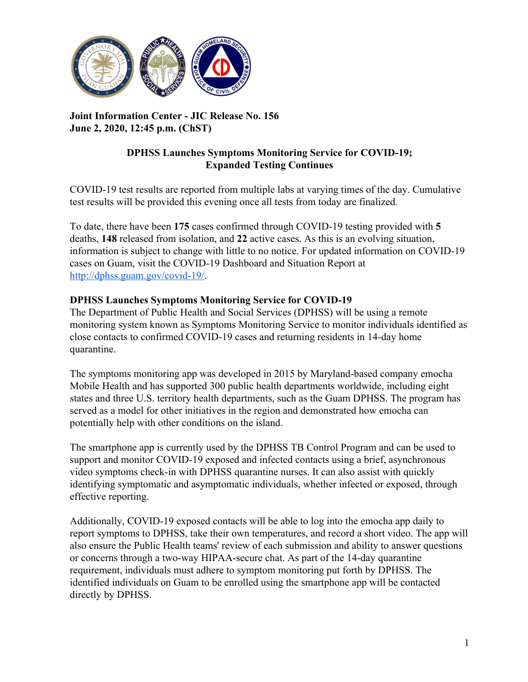

**Joint Information Center - JIC Release No. 156 June 2, 2020, 12:45 p.m. (ChST)**

## **DPHSS Launches Symptoms Monitoring Service for COVID-19; Expanded Testing Continues**

COVID-19 test results are reported from multiple labs at varying times of the day. Cumulative test results will be provided this evening once all tests from today are finalized.

To date, there have been **175** cases confirmed through COVID-19 testing provided with **5** deaths, **148** released from isolation, and **22** active cases. As this is an evolving situation, information is subject to change with little to no notice. For updated information on COVID-19 cases on Guam, visit the COVID-19 Dashboard and Situation Report at [http://dphss.guam.gov/covid-19/.](http://dphss.guam.gov/covid-19/)

## **DPHSS Launches Symptoms Monitoring Service for COVID-19**

The Department of Public Health and Social Services (DPHSS) will be using a remote monitoring system known as Symptoms Monitoring Service to monitor individuals identified as close contacts to confirmed COVID-19 cases and returning residents in 14-day home quarantine.

The symptoms monitoring app was developed in 2015 by Maryland-based company emocha Mobile Health and has supported 300 public health departments worldwide, including eight states and three U.S. territory health departments, such as the Guam DPHSS. The program has served as a model for other initiatives in the region and demonstrated how emocha can potentially help with other conditions on the island.

The smartphone app is currently used by the DPHSS TB Control Program and can be used to support and monitor COVID-19 exposed and infected contacts using a brief, asynchronous video symptoms check-in with DPHSS quarantine nurses. It can also assist with quickly identifying symptomatic and asymptomatic individuals, whether infected or exposed, through effective reporting.

Additionally, COVID-19 exposed contacts will be able to log into the emocha app daily to report symptoms to DPHSS, take their own temperatures, and record a short video. The app will also ensure the Public Health teams' review of each submission and ability to answer questions or concerns through a two-way HIPAA-secure chat. As part of the 14-day quarantine requirement, individuals must adhere to symptom monitoring put forth by DPHSS. The identified individuals on Guam to be enrolled using the smartphone app will be contacted directly by DPHSS.